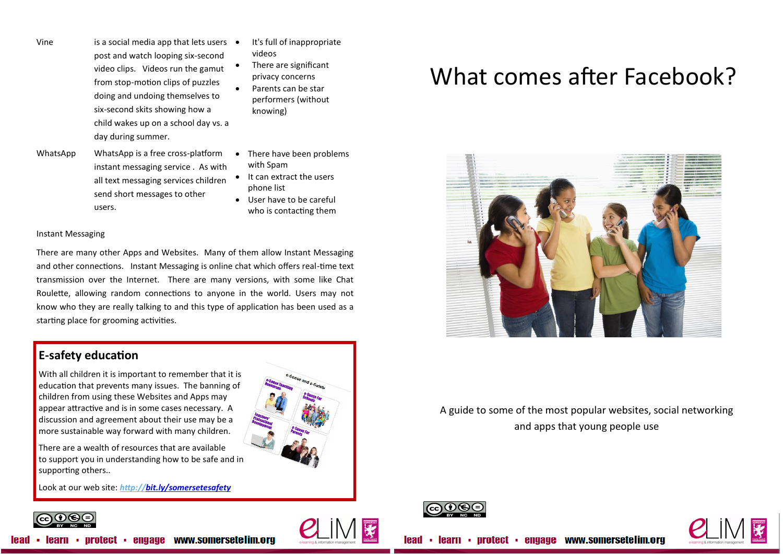- Vine is a social media app that lets users  $\bullet$ post and watch looping six-second video clips. Videos run the gamut from stop-motion clips of puzzles doing and undoing themselves to six-second skits showing how a child wakes up on a school day vs. a day during summer.
- It's full of inappropriate videos
	- There are significant privacy concerns
	- Parents can be star performers (without knowing)
- WhatsApp WhatsApp is a free cross-platform instant messaging service . As with all text messaging services children send short messages to other users.
- There have been problems with Spam
- It can extract the users phone list
- User have to be careful who is contacting them

## Instant Messaging

There are many other Apps and Websites. Many of them allow Instant Messaging and other connections. Instant Messaging is online chat which offers real-time text transmission over the Internet. There are many versions, with some like Chat Roulette, allowing random connections to anyone in the world. Users may not know who they are really talking to and this type of application has been used as a starting place for grooming activities.

## **E-safety education**

With all children it is important to remember that it is education that prevents many issues. The banning of children from using these Websites and Apps may appear attractive and is in some cases necessary. A discussion and agreement about their use may be a more sustainable way forward with many children.

There are a wealth of resources that are available to support you in understanding how to be safe and in supporting others..

Look at our web site: *<http://bit.ly/somersetesafety>*



## What comes after Facebook?



## A guide to some of the most popular websites, social networking and apps that young people use